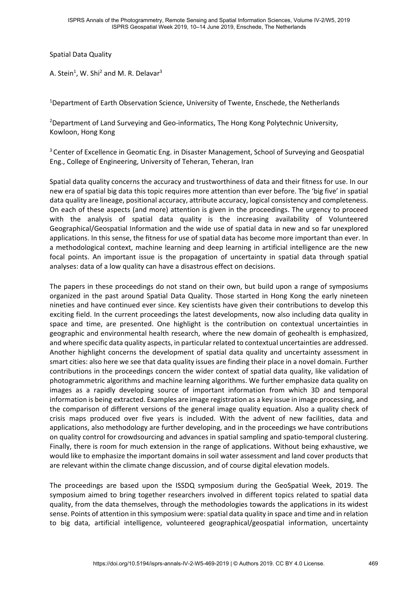Spatial Data Quality

A. Stein<sup>1</sup>, W. Shi<sup>2</sup> and M. R. Delavar<sup>3</sup>

<sup>1</sup>Department of Earth Observation Science, University of Twente, Enschede, the Netherlands

<sup>2</sup>Department of Land Surveying and Geo-informatics, The Hong Kong Polytechnic University, Kowloon, Hong Kong

<sup>3</sup> Center of Excellence in Geomatic Eng. in Disaster Management, School of Surveying and Geospatial Eng., College of Engineering, University of Teheran, Teheran, Iran

Spatial data quality concerns the accuracy and trustworthiness of data and their fitness for use. In our new era of spatial big data this topic requires more attention than ever before. The 'big five' in spatial data quality are lineage, positional accuracy, attribute accuracy, logical consistency and completeness. On each of these aspects (and more) attention is given in the proceedings. The urgency to proceed with the analysis of spatial data quality is the increasing availability of Volunteered Geographical/Geospatial Information and the wide use of spatial data in new and so far unexplored applications. In this sense, the fitness for use of spatial data has become more important than ever. In a methodological context, machine learning and deep learning in artificial intelligence are the new focal points. An important issue is the propagation of uncertainty in spatial data through spatial analyses: data of a low quality can have a disastrous effect on decisions.

The papers in these proceedings do not stand on their own, but build upon a range of symposiums organized in the past around Spatial Data Quality. Those started in Hong Kong the early nineteen nineties and have continued ever since. Key scientists have given their contributions to develop this exciting field. In the current proceedings the latest developments, now also including data quality in space and time, are presented. One highlight is the contribution on contextual uncertainties in geographic and environmental health research, where the new domain of geohealth is emphasized, and where specific data quality aspects, in particular related to contextual uncertainties are addressed. Another highlight concerns the development of spatial data quality and uncertainty assessment in smart cities: also here we see that data quality issues are finding their place in a novel domain. Further contributions in the proceedings concern the wider context of spatial data quality, like validation of photogrammetric algorithms and machine learning algorithms. We further emphasize data quality on images as a rapidly developing source of important information from which 3D and temporal information is being extracted. Examples are image registration as a key issue in image processing, and the comparison of different versions of the general image quality equation. Also a quality check of crisis maps produced over five years is included. With the advent of new facilities, data and applications, also methodology are further developing, and in the proceedings we have contributions on quality control for crowdsourcing and advances in spatial sampling and spatio-temporal clustering. Finally, there is room for much extension in the range of applications. Without being exhaustive, we would like to emphasize the important domains in soil water assessment and land cover products that are relevant within the climate change discussion, and of course digital elevation models.

The proceedings are based upon the ISSDQ symposium during the GeoSpatial Week, 2019. The symposium aimed to bring together researchers involved in different topics related to spatial data quality, from the data themselves, through the methodologies towards the applications in its widest sense. Points of attention in this symposium were: spatial data quality in space and time and in relation to big data, artificial intelligence, volunteered geographical/geospatial information, uncertainty